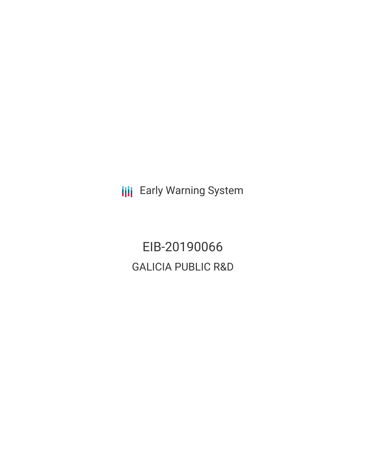**III** Early Warning System

EIB-20190066 GALICIA PUBLIC R&D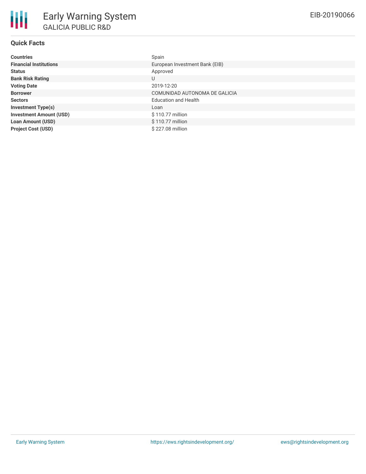# **Quick Facts**

| <b>Countries</b>               | Spain                          |
|--------------------------------|--------------------------------|
| <b>Financial Institutions</b>  | European Investment Bank (EIB) |
| <b>Status</b>                  | Approved                       |
| <b>Bank Risk Rating</b>        | U                              |
| <b>Voting Date</b>             | 2019-12-20                     |
| <b>Borrower</b>                | COMUNIDAD AUTONOMA DE GALICIA  |
| <b>Sectors</b>                 | <b>Education and Health</b>    |
| <b>Investment Type(s)</b>      | Loan                           |
| <b>Investment Amount (USD)</b> | \$110.77 million               |
| <b>Loan Amount (USD)</b>       | \$110.77 million               |
| <b>Project Cost (USD)</b>      | \$227.08 million               |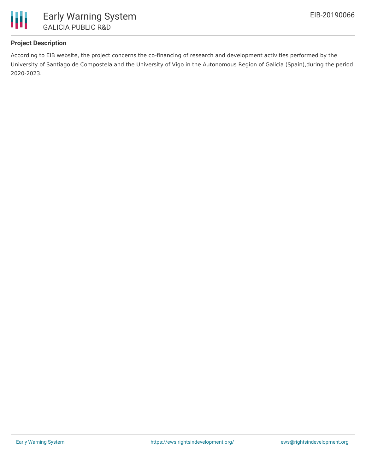

## **Project Description**

According to EIB website, the project concerns the co-financing of research and development activities performed by the University of Santiago de Compostela and the University of Vigo in the Autonomous Region of Galicia (Spain),during the period 2020-2023.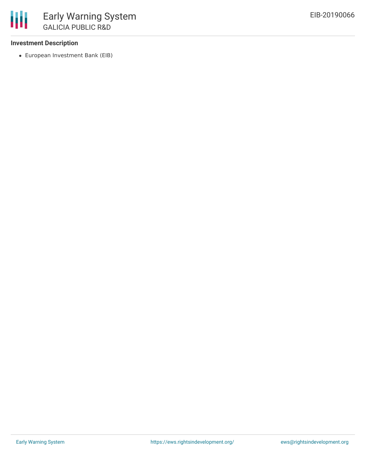### **Investment Description**

European Investment Bank (EIB)